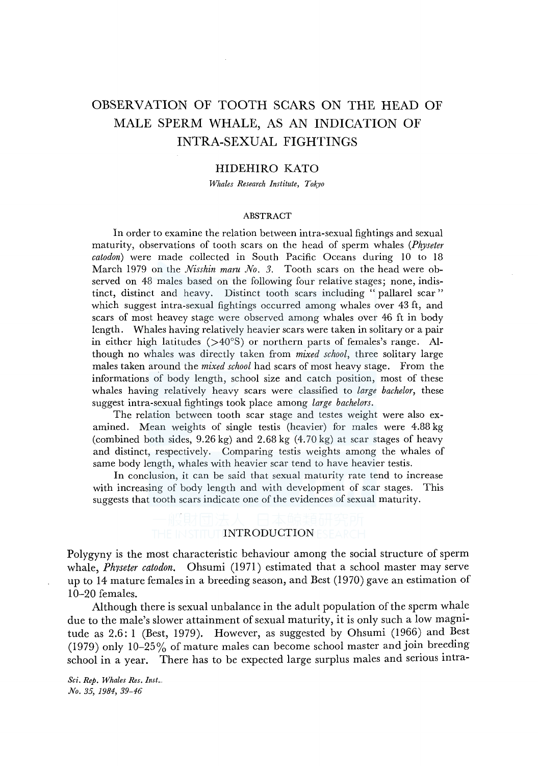# OBSERVATION OF TOOTH SCARS ON THE HEAD OF MALE SPERM WHALE, AS AN INDICATION OF INTRA-SEXUAL FIGHTINGS

# HIDEHIRO KATO

*Whales Research Institute, Tokyo* 

#### ABSTRACT

In order to examine the relation between intra-sexual fightings and sexual maturity, observations of tooth scars on the head of sperm whales *(Physeter catodon)* were made collected in South Pacific Oceans during 10 to 18 March 1979 on the *Nisshin maru No. 3.* Tooth scars on the head were observed on 48 males based on the following four relative stages; none, indistinct, distinct and heavy. Distinct tooth scars including "pallarel scar" which suggest intra-sexual fightings occurred among whales over 43 ft, and scars of most heavey stage were observed among whales over 46 ft in body length. Whales having relatively heavier scars were taken in solitary or a pair in either high latitudes  $(>40°S)$  or northern parts of females's range. Although no whales was directly taken from *mixed school,* three solitary large males taken around the *mixed school* had scars of most heavy stage. From the informations of body length, school size and catch position, most of these whales having relatively heavy scars were classified to *large bachelor,* these suggest intra-sexual fightings took place among *large bachelors.* 

The relation between tooth scar stage and testes weight were also examined. Mean weights of single testis (heavier) for males were 4.88 kg (combined both sides,  $9.26 \text{ kg}$ ) and  $2.68 \text{ kg}$  (4.70 kg) at scar stages of heavy and distinct, respectively. Comparing testis weights among the whales of same body length, whales with heavier scar tend to have heavier testis.

In conclusion, it can be said that sexual maturity rate tend to increase with increasing of body length and with development of scar stages. This suggests that tooth scars indicate one of the evidences of sexual maturity.

# THE IN STITUT **INTRODUCTION** ESEAR

Polygyny is the most characteristic behaviour among the social structure of sperm whale, *Phvseter catodon.* Ohsumi (1971) estimated that a school master may serve up to 14 mature females in a breeding season, and Best (1970) gave an estimation of 10-20 females.

Although there is sexual unbalance in the adult population of the sperm whale due to the male's slower attainment of sexual maturity, it is only such a low magnitude as 2.6: 1 (Best, 1979). However, as suggested by Ohsumi (1966) and Best (1979) only 10-25% of mature males can become school master and join breeding school in a year. There has to be expected large surplus males and serious intra-

*Sci. Rep. Whales Res. Inst ... No. 35, 1984, 39-46*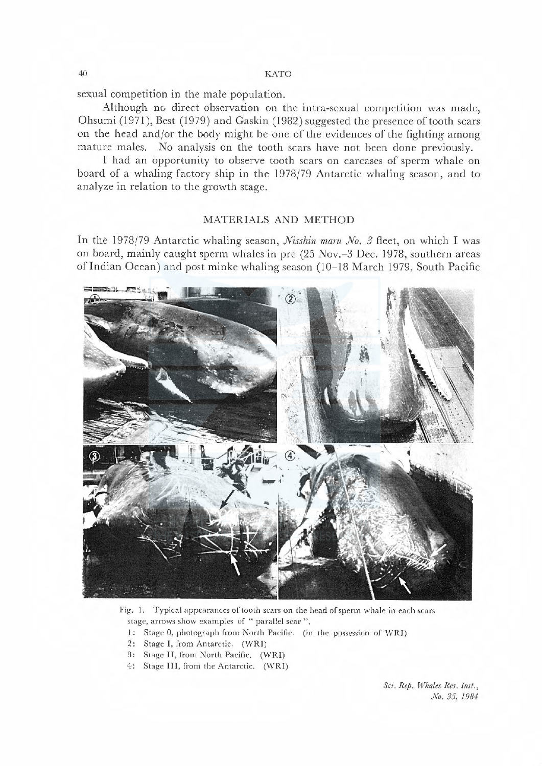40 K TO

sexual competition in the male population.

Although no direct observation on the intra-sexual competition was made, Ohsumi (1971), Best (1979) and Gaskin (1982) suggested the presence of tooth scars on the head and/or the body might be one of the evidences of the fighting among mature males. No analysis on the tooth scars have not been done previously.

I had an opportunity to observe tooth scars on carcases of sperm whale on board of a whaling factory ship in the 1978/79 Antarctic whaling season, and to analyze in relation to the growth stage.

# MATERIALS AND METHOD

In the 1978/79 Antarctic whaling season, *Nisshin maru No.* 3 fleet, on which I was on board, mainly caught sperm whales in pre (25 Nov.-3 Dec. 1978, southern areas of Indian Ocean) and post minke whaling season (10-18 March 1979, South Pacific



Fig. 1. Typical appearances of tooth scars on the head of sperm whale in each scars stage, arrows show examples of "parallel scar".

- 1: Stage 0, photograph from North Pacific. (in the possession of WRI)
- 2: Stage I, Irom Antarctic. (WR!)
- 3: Stage II, from North Pacific. (WRI)
- 4: Stage III, from the Antarctic. (WRI)

Sci. Rep. Whales Res. Inst., No. 35, 1984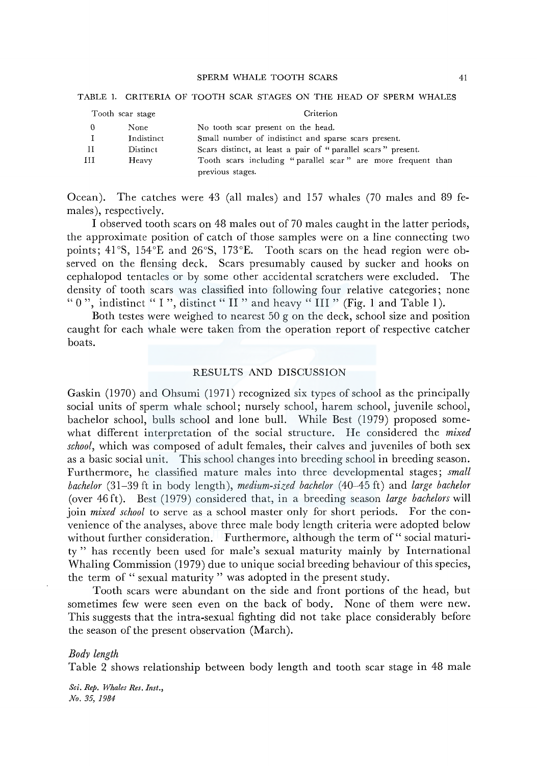#### SPERM WHALE TOOTH SCARS

| Tooth scar stage |            | Criterion                                                                        |
|------------------|------------|----------------------------------------------------------------------------------|
|                  | None       | No tooth scar present on the head.                                               |
|                  | Indistinct | Small number of indistinct and sparse scars present.                             |
| - I I            | Distinct   | Scars distinct, at least a pair of "parallel scars" present.                     |
| ш                | Heavy      | Tooth scars including "parallel scar" are more frequent than<br>previous stages. |

### TABLE 1. CRITERIA OF TOOTH SCAR STAGES ON THE HEAD OF SPERM WHALES

Ocean). The catches were 43 (all males) and 157 whales (70 males and 89 females), respectively.

I observed tooth scars on 48 males out of 70 males caught in the latter periods, the approximate position of catch of those samples were on a line connecting two points; 41°S, 154°E and 26°S, 173°E. Tooth scars on the head region were observed on the flensing deck. Scars presumably caused by sucker and hooks on cephalopod tentacles or by some other accidental scratchers were excluded. The density of tooth scars was classified into following four relative categories; none " 0", indistinct " I", distinct " II" and heavy " III" (Fig. 1 and Table 1).

Both testes were weighed to nearest 50 g on the deck, school size and position caught for each whale were taken from the operation report of respective catcher boats.

# RESULTS AND DISCUSSION

Gaskin (1970) and Ohsumi (1971) recognized six types of school as the principally social units of sperm whale school; nursely school, harem school, juvenile school, bachelor school, bulls school and lone bull. While Best ( 1979) proposed somewhat different interpretation of the social structure. He considered the *mixed school,* which was composed of adult females, their calves and juveniles of both sex as a basic social unit. This school changes into breeding school in breeding season. Furthermore, he classified mature males into three developmental stages; *small bachelor* (31-39 ft in body length), *medium-sized bachelor* (40-45 ft) and *large bachelor*  (over 46ft). Best (1979) considered that, in a breeding season *large bachelors* will join *mixed school* to serve as a school master only for short periods. For the convenience of the analyses, above three male body length criteria were adopted below without further consideration. Furthermore, although the term of "social maturity " has recently been used for male's sexual maturity mainly by International Whaling Commission (1979) due to unique social breeding behaviour of this species, the term of " sexual maturity " was adopted in the present study.

Tooth scars were abundant on the side and front portions of the head, but sometimes few were seen even on the back of body. None of them were new. This suggests that the intra-sexual fighting did not take place considerably before the season of the present observation (March).

#### *Body length*

Table 2 shows relationship between body length and tooth scar stage in 48 male

*Sci. Rep. Whales Res. Inst., No. 35, 1984*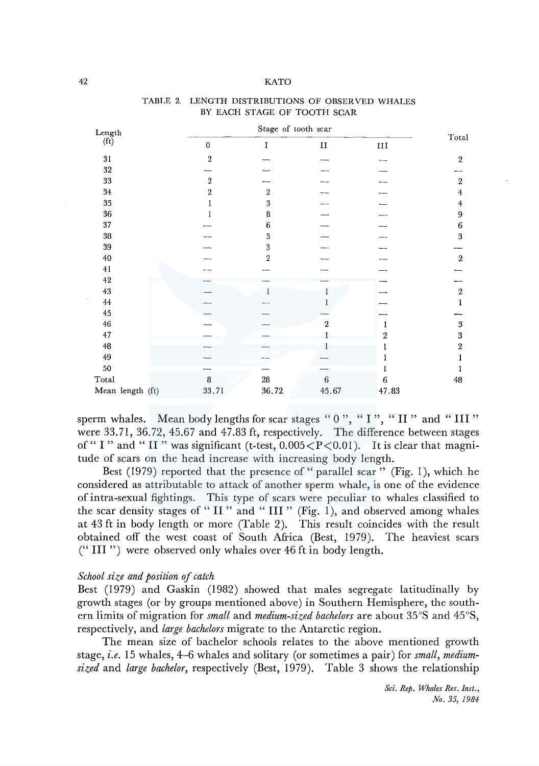#### 42 KATO

| Length                          | Stage of tooth scar |                  |               |          |                                 |
|---------------------------------|---------------------|------------------|---------------|----------|---------------------------------|
| $(f_t)$                         | 0                   | I                | $\mathbf{II}$ | $\;$ III | $\operatorname{\mathsf{Total}}$ |
| $31\,$                          | $\overline{2}$      |                  |               |          | $\boldsymbol{2}$                |
| $32\,$                          |                     |                  |               |          |                                 |
| $33\,$                          | $\,2$               |                  |               |          | $\,2$                           |
| $34\,$                          | $\,2\,$             | $\,2\,$          |               |          | 4                               |
| $35\,$                          |                     | $\sqrt{3}$       |               |          | $\overline{\mathbf{4}}$         |
| 36                              |                     | 8                |               |          | 9                               |
| $37\,$                          |                     | 6                |               |          | $\,6$                           |
| $38\,$                          |                     | $\boldsymbol{3}$ |               |          | $\bf 3$                         |
| 39                              |                     | $\boldsymbol{3}$ |               |          |                                 |
| 40                              |                     | $\overline{2}$   |               |          | $\,2\,$                         |
| 41                              |                     |                  |               |          |                                 |
| $42\,$                          |                     |                  |               |          |                                 |
| 43                              |                     |                  |               |          | $\,2\,$                         |
| $\bf 44$                        |                     |                  |               |          |                                 |
| 45                              |                     |                  |               |          |                                 |
| 46                              |                     |                  | 2             |          | $\boldsymbol{3}$                |
| 47                              |                     |                  |               | 2        | $\overline{\mathbf{3}}$         |
| 48                              |                     |                  |               |          | $\boldsymbol{2}$                |
| 49                              |                     |                  |               |          |                                 |
| $50\,$                          |                     |                  |               |          |                                 |
| $\operatorname{\mathsf{Total}}$ | 8                   | ${\bf 28}$       | $\,6\,$       | 6        | $\bf 48$                        |
| Mean length (ft)                | 33.71               | 36.72            | 45.67         | 47.83    |                                 |

## TABLE 2. LENGTH DISTRIBUTIONS OF OBSERVED WHALES BY EACH STAGE OF TOOTH SCAR

sperm whales. Mean body lengths for scar stages " $0$ ", " $I$ ", " $II$ " and " $III$ " were 33.71, 36.72, 45.67 and 47.83 ft, respectively. The difference between stages of "I" and "II" was significant (t-test,  $0.005 < P < 0.01$ ). It is clear that magnitude of scars on the head increase with increasing body length.

Best (1979) reported that the presence of "parallel scar" (Fig. 1), which he considered as attributable to attack of another sperm whale, is one of the evidence of intra-sexual fightings. This type of scars were peculiar to whales classified to the scar density stages of "II" and "III" (Fig. 1), and observed among whales at 43 ft in body length or more (Table 2). This result coincides with the result obtained off the west coast of South Africa (Best, 1979). The heaviest scars (" III ") were observed only whales over 46 ft in body length.

# *School size and position of catch*

Best (1979) and Gaskin (1982) showed that males segregate latitudinally by growth stages (or by groups mentioned above) in Southern Hemisphere, the southern limits of migration for *small* and *medium-sized bachelors* are about 35 °S and 45 °S, respectively, and *large bachelors* migrate to the Antarctic region.

The mean size of bachelor schools relates to the above mentioned growth stage, *i.e.* 15 whales, 4-6 whales and solitary (or sometimes a pair) for *small, mediumsized* and *large bachelor,* respectively (Best, 1979). Table 3 shows the relationship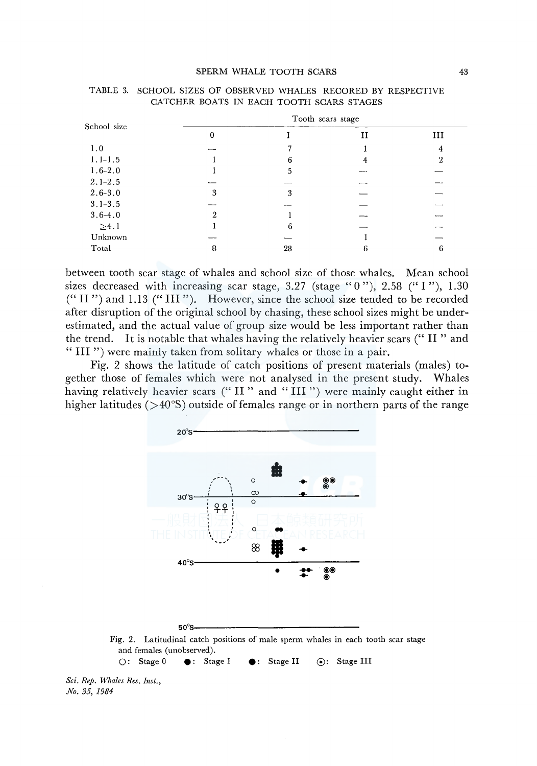#### SPERM WHALE TOOTH SCARS 43

| School size |                          |    | Tooth scars stage |     |
|-------------|--------------------------|----|-------------------|-----|
|             | 0                        |    | и                 | III |
| 1.0         | $\overline{\phantom{a}}$ |    |                   |     |
| $1.1 - 1.5$ |                          | 6  | 4                 | 2   |
| $1.6 - 2.0$ |                          | 5  |                   |     |
| $2.1 - 2.5$ |                          |    |                   |     |
| $2.6 - 3.0$ | 3                        | 3  |                   |     |
| $3.1 - 3.5$ |                          |    |                   |     |
| $3.6 - 4.0$ |                          |    |                   |     |
| $\geq 4.1$  |                          | 6  |                   |     |
| Unknown     | <b>STATISTICS</b>        |    |                   |     |
| Total       | 8                        | 28 |                   | 0   |
|             |                          |    |                   |     |

| TABLE 3. SCHOOL SIZES OF OBSERVED WHALES RECORED BY RESPECTIVE |  |  |
|----------------------------------------------------------------|--|--|
| CATCHER BOATS IN EACH TOOTH SCARS STAGES                       |  |  |

between tooth scar stage of whales and school size of those whales. Mean school sizes decreased with increasing scar stage, 3.27 (stage "0"), 2.58 ("I"), 1.30 ("II ") and 1.13 ("III "). However, since the school size tended to be recorded after disruption of the original school by chasing, these school sizes might be underestimated, and the actual value of group size would be less important rather than the trend. It is notable that whales having the relatively heavier scars ("II" and " III ") were mainly taken from solitary whales or those in a pair.

Fig. 2 shows the latitude of catch positions of present materials (males) together those of females which were not analysed in the present study. Whales having relatively heavier scars ("II" and "III") were mainly caught either in higher latitudes  $( > 40°S)$  outside of females range or in northern parts of the range



 $\bigcirc$ : Stage 0  $\bigcirc$ : Stage I  $\bigcirc$ : Stage II  $\bigcirc$ : Stage III

*Sci. Rep. Whales Res. Inst., No. 35, 1984*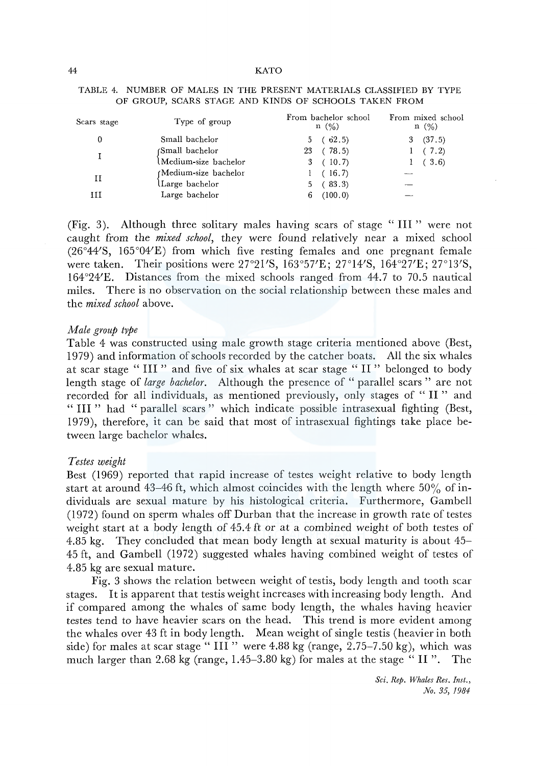| Scars stage | Type of group         | From bachelor school<br>n (%) | From mixed school<br>$n \ (\%)$ |
|-------------|-----------------------|-------------------------------|---------------------------------|
| 0           | Small bachelor        | 5(62.5)                       | (37.5)<br>3                     |
|             | (Small bachelor       | (78.5)<br>23                  | 1(7.2)                          |
|             | lMedium-size bachelor | (10.7)<br>3                   | (3.6)                           |
| н           | (Medium-size bachelor | (16.7)                        | ----                            |
|             | Large bachelor        | 5(83.3)                       |                                 |
| ш           | Large bachelor        | (100.0)<br>6                  |                                 |

## TABLE 4. NUMBER OF MALES IN THE PRESENT MATERIALS CLASSIFIED BY TYPE OF GROUP, SCARS STAGE AND KINDS OF SCHOOLS TAKEN FROM

(Fig. 3). Although three solitary males having scars of stage "III" were not caught from the *mixed school,* they were found relatively near a mixed school (26°44'S, 165°04'E) from which five resting females and one pregnant female were taken. Their positions were 27°2l'S, 163°57'E; 27°14'S, 164°27'E; 27°13'S, 164°24'E. Distances from the mixed schools ranged from 44.7 to 70.5 nautical miles. There is no observation on the social relationship between these males and the *mixed school* above.

## *Male group type*

Table 4 was constructed using male growth stage criteria mentioned above (Best, 1979) and information of schools recorded by the catcher boats. All the six whales at scar stage " III " and five of six whales at scar stage " II " belonged to body length stage of *large bachelor.* Although the presence of " parallel scars " are not recorded for all individuals, as mentioned previously, only stages of " II " and " III " had "parallel scars " which indicate possible intrasexual fighting (Best, 1979), therefore, it can be said that most of intrasexual fightings take place between large bachelor whales.

## *Testes weight*

Best (1969) reported that rapid increase of testes weight relative to body length start at around 43-46 ft, which almost coincides with the length where  $50\%$  of individuals are sexual mature by his histological criteria. Furthermore, Gambell (1972) found on sperm whales off Durban that the increase in growth rate of testes weight start at a body length of 45.4 ft or at a combined weight of both testes of 4.85 kg. They concluded that mean body length at sexual maturity is about 45- 45 ft, and Gambell (1972) suggested whales having combined weight of testes of 4.85 kg are sexual mature.

Fig. 3 shows the relation between weight of testis, body length and tooth scar stages. It is apparent that testis weight increases with increasing body length. And if compared among the whales of same body length, the whales having heavier testes tend to have heavier scars on the head. This trend is more evident among the whales over 43 ft in body length. Mean weight of single testis (heavier in both side) for males at scar stage " III" were 4.88 kg (range,  $2.75-7.50$  kg), which was much larger than 2.68 kg (range,  $1.45-3.80$  kg) for males at the stage " II". The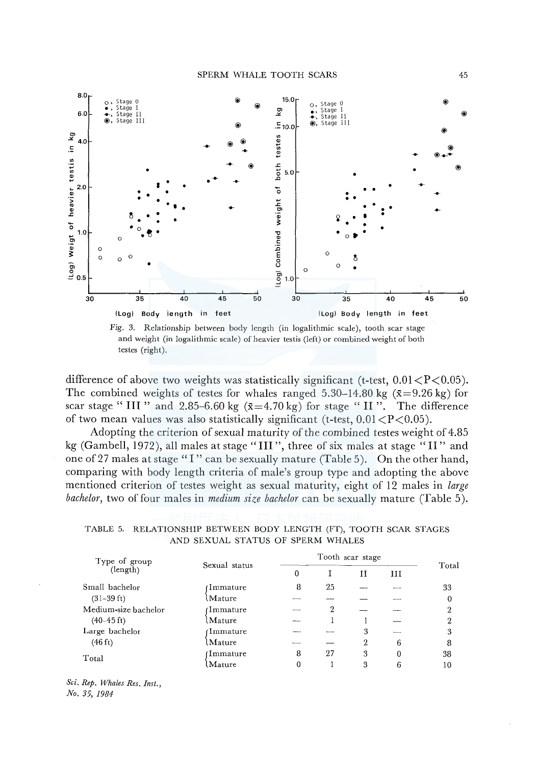

Fig. 3. Relationship between body length (in logalithmic scale), tooth scar stage and weight (in logalithmic scale) of heavier testis (left) or combined weight of both testes (right).

difference of above two weights was statistically significant (t-test,  $0.01 < P < 0.05$ ). The combined weights of testes for whales ranged 5.30–14.80 kg ( $\bar{x}$ =9.26 kg) for scar stage "III" and 2.85-6.60 kg  $(\bar{x}=4.70 \text{ kg})$  for stage "II". The difference of two mean values was also statistically significant (t-test,  $0.01 < P < 0.05$ ).

Adopting the criterion of sexual maturity of the combined testes weight of 4.85 kg (Gambell, 1972), all males at stage "III", three of six males at stage "II" and one of 27 males at stage "I" can be sexually mature (Table 5). On the other hand, comparing with body length criteria of male's group type and adopting the above mentioned criterion of testes weight as sexual maturity, eight of 12 males in *large bachelor,* two of four males in *medium size bachelor* can be sexually mature (Table 5).

TABLE 5. RELATIONSHIP BETWEEN BODY LENGTH (FT), TOOTH SCAR STAGES AND SEXUAL STATUS OF SPERM WHALES

| Type of group        | Sexual status | Tooth scar stage |    |   |          |                |
|----------------------|---------------|------------------|----|---|----------|----------------|
| (length)             |               | 0                |    | и | Ш        | Total          |
| Small bachelor       | 1mmature      | -8               | 25 |   |          | 33             |
| $(31-39 \text{ ft})$ | Mature        |                  |    |   |          | 0              |
| Medium-size bachelor | 1mmature      |                  | 2  |   |          | $\overline{2}$ |
| $(40-45 \text{ ft})$ | Mature        |                  |    |   |          | 2              |
| Large bachelor       | 1mmature      |                  |    | 3 |          | 3              |
| $(46 \text{ ft})$    | Mature        |                  |    | 2 | 6        | 8              |
| Total                | Dmmature)     | 8                | 27 | 3 | $\theta$ | 38             |
|                      | .Mature       |                  |    | 3 | 6        | 10             |

*Sci. Rep. Whales Res. Inst., No. 35, 1984*